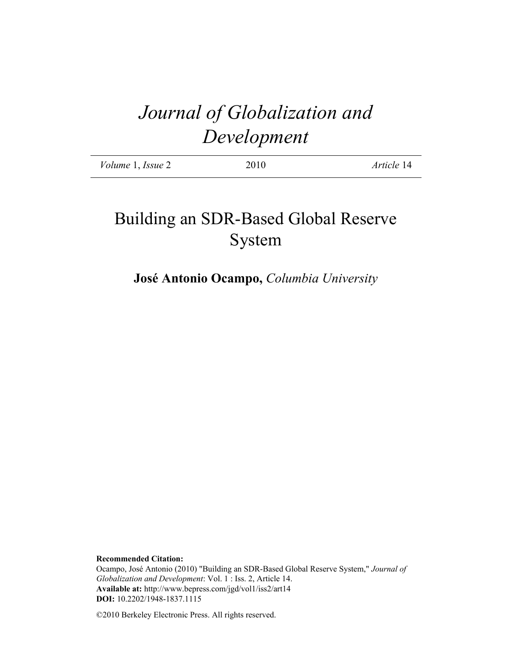# *Journal of Globalization and Development*

| Volume 1, Issue 2 | 2010 | Article 14 |
|-------------------|------|------------|
|                   |      |            |

# Building an SDR-Based Global Reserve System

**José Antonio Ocampo,** *Columbia University*

**Recommended Citation:**

Ocampo, José Antonio (2010) "Building an SDR-Based Global Reserve System," *Journal of Globalization and Development*: Vol. 1 : Iss. 2, Article 14. **Available at:** http://www.bepress.com/jgd/vol1/iss2/art14 **DOI:** 10.2202/1948-1837.1115

©2010 Berkeley Electronic Press. All rights reserved.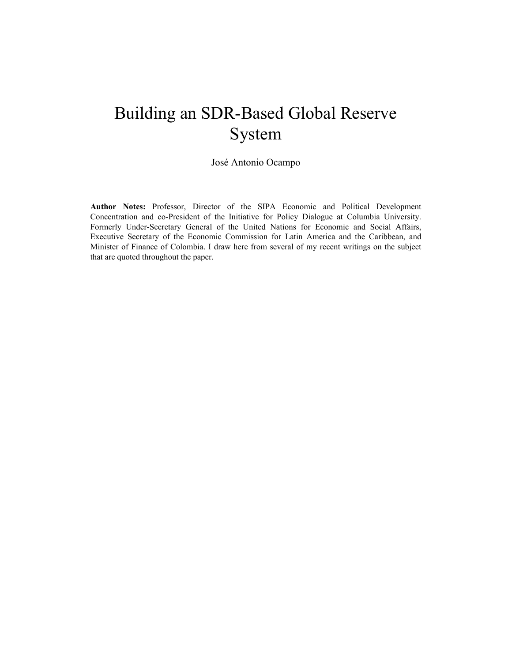# Building an SDR-Based Global Reserve System

José Antonio Ocampo

**Author Notes:** Professor, Director of the SIPA Economic and Political Development Concentration and co-President of the Initiative for Policy Dialogue at Columbia University. Formerly Under-Secretary General of the United Nations for Economic and Social Affairs, Executive Secretary of the Economic Commission for Latin America and the Caribbean, and Minister of Finance of Colombia. I draw here from several of my recent writings on the subject that are quoted throughout the paper.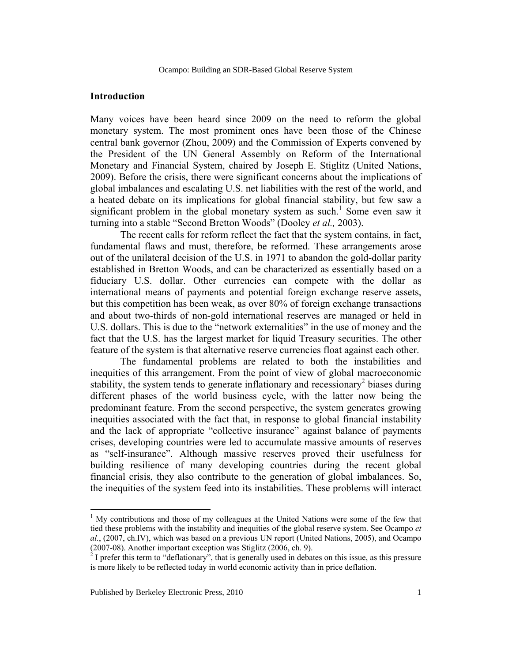# **Introduction**

Many voices have been heard since 2009 on the need to reform the global monetary system. The most prominent ones have been those of the Chinese central bank governor (Zhou, 2009) and the Commission of Experts convened by the President of the UN General Assembly on Reform of the International Monetary and Financial System, chaired by Joseph E. Stiglitz (United Nations, 2009). Before the crisis, there were significant concerns about the implications of global imbalances and escalating U.S. net liabilities with the rest of the world, and a heated debate on its implications for global financial stability, but few saw a significant problem in the global monetary system as such.<sup>1</sup> Some even saw it turning into a stable "Second Bretton Woods" (Dooley *et al.,* 2003).

The recent calls for reform reflect the fact that the system contains, in fact, fundamental flaws and must, therefore, be reformed. These arrangements arose out of the unilateral decision of the U.S. in 1971 to abandon the gold-dollar parity established in Bretton Woods, and can be characterized as essentially based on a fiduciary U.S. dollar. Other currencies can compete with the dollar as international means of payments and potential foreign exchange reserve assets, but this competition has been weak, as over 80% of foreign exchange transactions and about two-thirds of non-gold international reserves are managed or held in U.S. dollars. This is due to the "network externalities" in the use of money and the fact that the U.S. has the largest market for liquid Treasury securities. The other feature of the system is that alternative reserve currencies float against each other.

The fundamental problems are related to both the instabilities and inequities of this arrangement. From the point of view of global macroeconomic stability, the system tends to generate inflationary and recessionary<sup>2</sup> biases during different phases of the world business cycle, with the latter now being the predominant feature. From the second perspective, the system generates growing inequities associated with the fact that, in response to global financial instability and the lack of appropriate "collective insurance" against balance of payments crises, developing countries were led to accumulate massive amounts of reserves as "self-insurance". Although massive reserves proved their usefulness for building resilience of many developing countries during the recent global financial crisis, they also contribute to the generation of global imbalances. So, the inequities of the system feed into its instabilities. These problems will interact

 $\overline{a}$ 

 $<sup>1</sup>$  My contributions and those of my colleagues at the United Nations were some of the few that</sup> tied these problems with the instability and inequities of the global reserve system. See Ocampo *et al.*, (2007, ch.IV), which was based on a previous UN report (United Nations, 2005), and Ocampo (2007-08). Another important exception was Stiglitz (2006, ch. 9).

 $2^{2}$  I prefer this term to "deflationary", that is generally used in debates on this issue, as this pressure is more likely to be reflected today in world economic activity than in price deflation.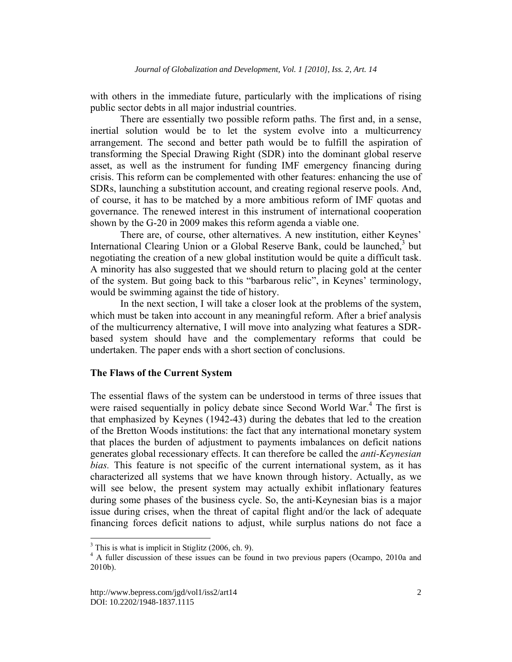with others in the immediate future, particularly with the implications of rising public sector debts in all major industrial countries.

There are essentially two possible reform paths. The first and, in a sense, inertial solution would be to let the system evolve into a multicurrency arrangement. The second and better path would be to fulfill the aspiration of transforming the Special Drawing Right (SDR) into the dominant global reserve asset, as well as the instrument for funding IMF emergency financing during crisis. This reform can be complemented with other features: enhancing the use of SDRs, launching a substitution account, and creating regional reserve pools. And, of course, it has to be matched by a more ambitious reform of IMF quotas and governance. The renewed interest in this instrument of international cooperation shown by the G-20 in 2009 makes this reform agenda a viable one.

There are, of course, other alternatives. A new institution, either Keynes' International Clearing Union or a Global Reserve Bank, could be launched,<sup>3</sup> but negotiating the creation of a new global institution would be quite a difficult task. A minority has also suggested that we should return to placing gold at the center of the system. But going back to this "barbarous relic", in Keynes' terminology, would be swimming against the tide of history.

In the next section, I will take a closer look at the problems of the system, which must be taken into account in any meaningful reform. After a brief analysis of the multicurrency alternative, I will move into analyzing what features a SDRbased system should have and the complementary reforms that could be undertaken. The paper ends with a short section of conclusions.

# **The Flaws of the Current System**

The essential flaws of the system can be understood in terms of three issues that were raised sequentially in policy debate since Second World War.<sup>4</sup> The first is that emphasized by Keynes (1942-43) during the debates that led to the creation of the Bretton Woods institutions: the fact that any international monetary system that places the burden of adjustment to payments imbalances on deficit nations generates global recessionary effects. It can therefore be called the *anti-Keynesian bias.* This feature is not specific of the current international system, as it has characterized all systems that we have known through history. Actually, as we will see below, the present system may actually exhibit inflationary features during some phases of the business cycle. So, the anti-Keynesian bias is a major issue during crises, when the threat of capital flight and/or the lack of adequate financing forces deficit nations to adjust, while surplus nations do not face a

 $\overline{a}$ 

 $3$  This is what is implicit in Stiglitz (2006, ch. 9).

<sup>&</sup>lt;sup>4</sup> A fuller discussion of these issues can be found in two previous papers (Ocampo, 2010a and 2010b).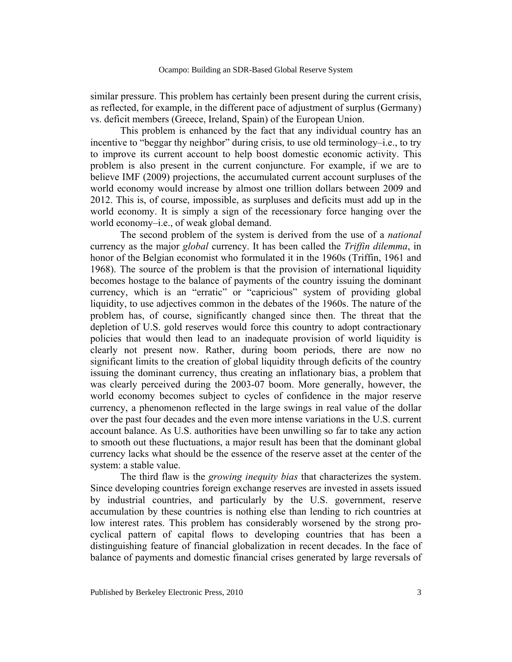similar pressure. This problem has certainly been present during the current crisis, as reflected, for example, in the different pace of adjustment of surplus (Germany) vs. deficit members (Greece, Ireland, Spain) of the European Union.

This problem is enhanced by the fact that any individual country has an incentive to "beggar thy neighbor" during crisis, to use old terminology–i.e., to try to improve its current account to help boost domestic economic activity. This problem is also present in the current conjuncture. For example, if we are to believe IMF (2009) projections, the accumulated current account surpluses of the world economy would increase by almost one trillion dollars between 2009 and 2012. This is, of course, impossible, as surpluses and deficits must add up in the world economy. It is simply a sign of the recessionary force hanging over the world economy–i.e., of weak global demand.

The second problem of the system is derived from the use of a *national* currency as the major *global* currency. It has been called the *Triffin dilemma*, in honor of the Belgian economist who formulated it in the 1960s (Triffin, 1961 and 1968). The source of the problem is that the provision of international liquidity becomes hostage to the balance of payments of the country issuing the dominant currency, which is an "erratic" or "capricious" system of providing global liquidity, to use adjectives common in the debates of the 1960s. The nature of the problem has, of course, significantly changed since then. The threat that the depletion of U.S. gold reserves would force this country to adopt contractionary policies that would then lead to an inadequate provision of world liquidity is clearly not present now. Rather, during boom periods, there are now no significant limits to the creation of global liquidity through deficits of the country issuing the dominant currency, thus creating an inflationary bias, a problem that was clearly perceived during the 2003-07 boom. More generally, however, the world economy becomes subject to cycles of confidence in the major reserve currency, a phenomenon reflected in the large swings in real value of the dollar over the past four decades and the even more intense variations in the U.S. current account balance. As U.S. authorities have been unwilling so far to take any action to smooth out these fluctuations, a major result has been that the dominant global currency lacks what should be the essence of the reserve asset at the center of the system: a stable value.

The third flaw is the *growing inequity bias* that characterizes the system. Since developing countries foreign exchange reserves are invested in assets issued by industrial countries, and particularly by the U.S. government, reserve accumulation by these countries is nothing else than lending to rich countries at low interest rates. This problem has considerably worsened by the strong procyclical pattern of capital flows to developing countries that has been a distinguishing feature of financial globalization in recent decades. In the face of balance of payments and domestic financial crises generated by large reversals of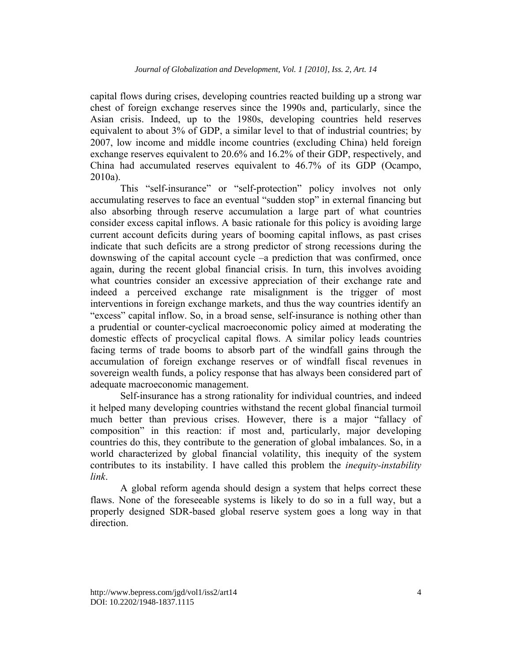capital flows during crises, developing countries reacted building up a strong war chest of foreign exchange reserves since the 1990s and, particularly, since the Asian crisis. Indeed, up to the 1980s, developing countries held reserves equivalent to about 3% of GDP, a similar level to that of industrial countries; by 2007, low income and middle income countries (excluding China) held foreign exchange reserves equivalent to 20.6% and 16.2% of their GDP, respectively, and China had accumulated reserves equivalent to 46.7% of its GDP (Ocampo, 2010a).

This "self-insurance" or "self-protection" policy involves not only accumulating reserves to face an eventual "sudden stop" in external financing but also absorbing through reserve accumulation a large part of what countries consider excess capital inflows. A basic rationale for this policy is avoiding large current account deficits during years of booming capital inflows, as past crises indicate that such deficits are a strong predictor of strong recessions during the downswing of the capital account cycle –a prediction that was confirmed, once again, during the recent global financial crisis. In turn, this involves avoiding what countries consider an excessive appreciation of their exchange rate and indeed a perceived exchange rate misalignment is the trigger of most interventions in foreign exchange markets, and thus the way countries identify an "excess" capital inflow. So, in a broad sense, self-insurance is nothing other than a prudential or counter-cyclical macroeconomic policy aimed at moderating the domestic effects of procyclical capital flows. A similar policy leads countries facing terms of trade booms to absorb part of the windfall gains through the accumulation of foreign exchange reserves or of windfall fiscal revenues in sovereign wealth funds, a policy response that has always been considered part of adequate macroeconomic management.

Self-insurance has a strong rationality for individual countries, and indeed it helped many developing countries withstand the recent global financial turmoil much better than previous crises. However, there is a major "fallacy of composition" in this reaction: if most and, particularly, major developing countries do this, they contribute to the generation of global imbalances. So, in a world characterized by global financial volatility, this inequity of the system contributes to its instability. I have called this problem the *inequity-instability link*.

A global reform agenda should design a system that helps correct these flaws. None of the foreseeable systems is likely to do so in a full way, but a properly designed SDR-based global reserve system goes a long way in that direction.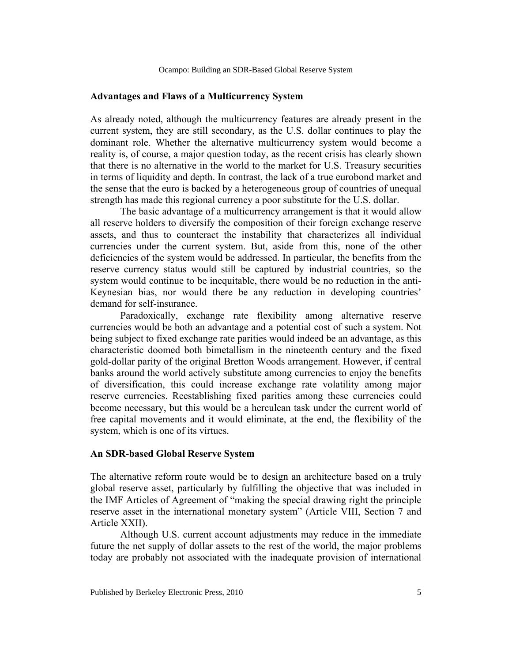### **Advantages and Flaws of a Multicurrency System**

As already noted, although the multicurrency features are already present in the current system, they are still secondary, as the U.S. dollar continues to play the dominant role. Whether the alternative multicurrency system would become a reality is, of course, a major question today, as the recent crisis has clearly shown that there is no alternative in the world to the market for U.S. Treasury securities in terms of liquidity and depth. In contrast, the lack of a true eurobond market and the sense that the euro is backed by a heterogeneous group of countries of unequal strength has made this regional currency a poor substitute for the U.S. dollar.

The basic advantage of a multicurrency arrangement is that it would allow all reserve holders to diversify the composition of their foreign exchange reserve assets, and thus to counteract the instability that characterizes all individual currencies under the current system. But, aside from this, none of the other deficiencies of the system would be addressed. In particular, the benefits from the reserve currency status would still be captured by industrial countries, so the system would continue to be inequitable, there would be no reduction in the anti-Keynesian bias, nor would there be any reduction in developing countries' demand for self-insurance.

Paradoxically, exchange rate flexibility among alternative reserve currencies would be both an advantage and a potential cost of such a system. Not being subject to fixed exchange rate parities would indeed be an advantage, as this characteristic doomed both bimetallism in the nineteenth century and the fixed gold-dollar parity of the original Bretton Woods arrangement. However, if central banks around the world actively substitute among currencies to enjoy the benefits of diversification, this could increase exchange rate volatility among major reserve currencies. Reestablishing fixed parities among these currencies could become necessary, but this would be a herculean task under the current world of free capital movements and it would eliminate, at the end, the flexibility of the system, which is one of its virtues.

#### **An SDR-based Global Reserve System**

The alternative reform route would be to design an architecture based on a truly global reserve asset, particularly by fulfilling the objective that was included in the IMF Articles of Agreement of "making the special drawing right the principle reserve asset in the international monetary system" (Article VIII, Section 7 and Article XXII).

Although U.S. current account adjustments may reduce in the immediate future the net supply of dollar assets to the rest of the world, the major problems today are probably not associated with the inadequate provision of international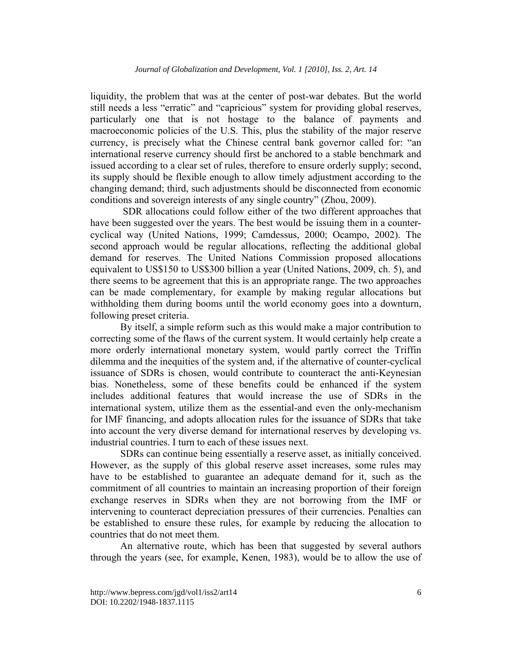liquidity, the problem that was at the center of post-war debates. But the world still needs a less "erratic" and "capricious" system for providing global reserves, particularly one that is not hostage to the balance of payments and macroeconomic policies of the U.S. This, plus the stability of the major reserve currency, is precisely what the Chinese central bank governor called for: "an international reserve currency should first be anchored to a stable benchmark and issued according to a clear set of rules, therefore to ensure orderly supply; second, its supply should be flexible enough to allow timely adjustment according to the changing demand; third, such adjustments should be disconnected from economic conditions and sovereign interests of any single country" (Zhou, 2009).

 SDR allocations could follow either of the two different approaches that have been suggested over the years. The best would be issuing them in a countercyclical way (United Nations, 1999; Camdessus, 2000; Ocampo, 2002). The second approach would be regular allocations, reflecting the additional global demand for reserves. The United Nations Commission proposed allocations equivalent to US\$150 to US\$300 billion a year (United Nations, 2009, ch. 5), and there seems to be agreement that this is an appropriate range. The two approaches can be made complementary, for example by making regular allocations but withholding them during booms until the world economy goes into a downturn, following preset criteria.

By itself, a simple reform such as this would make a major contribution to correcting some of the flaws of the current system. It would certainly help create a more orderly international monetary system, would partly correct the Triffin dilemma and the inequities of the system and, if the alternative of counter-cyclical issuance of SDRs is chosen, would contribute to counteract the anti-Keynesian bias. Nonetheless, some of these benefits could be enhanced if the system includes additional features that would increase the use of SDRs in the international system, utilize them as the essential-and even the only-mechanism for IMF financing, and adopts allocation rules for the issuance of SDRs that take into account the very diverse demand for international reserves by developing vs. industrial countries. I turn to each of these issues next.

SDRs can continue being essentially a reserve asset, as initially conceived. However, as the supply of this global reserve asset increases, some rules may have to be established to guarantee an adequate demand for it, such as the commitment of all countries to maintain an increasing proportion of their foreign exchange reserves in SDRs when they are not borrowing from the IMF or intervening to counteract depreciation pressures of their currencies. Penalties can be established to ensure these rules, for example by reducing the allocation to countries that do not meet them.

An alternative route, which has been that suggested by several authors through the years (see, for example, Kenen, 1983), would be to allow the use of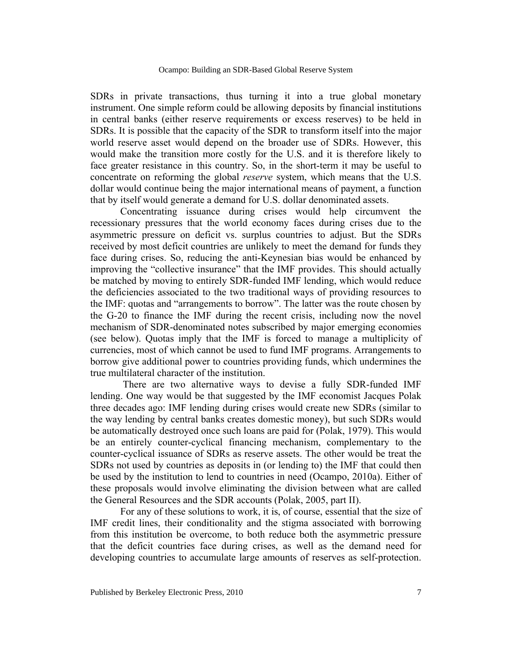SDRs in private transactions, thus turning it into a true global monetary instrument. One simple reform could be allowing deposits by financial institutions in central banks (either reserve requirements or excess reserves) to be held in SDRs. It is possible that the capacity of the SDR to transform itself into the major world reserve asset would depend on the broader use of SDRs. However, this would make the transition more costly for the U.S. and it is therefore likely to face greater resistance in this country. So, in the short-term it may be useful to concentrate on reforming the global *reserve* system, which means that the U.S. dollar would continue being the major international means of payment, a function that by itself would generate a demand for U.S. dollar denominated assets.

Concentrating issuance during crises would help circumvent the recessionary pressures that the world economy faces during crises due to the asymmetric pressure on deficit vs. surplus countries to adjust. But the SDRs received by most deficit countries are unlikely to meet the demand for funds they face during crises. So, reducing the anti-Keynesian bias would be enhanced by improving the "collective insurance" that the IMF provides. This should actually be matched by moving to entirely SDR-funded IMF lending, which would reduce the deficiencies associated to the two traditional ways of providing resources to the IMF: quotas and "arrangements to borrow". The latter was the route chosen by the G-20 to finance the IMF during the recent crisis, including now the novel mechanism of SDR-denominated notes subscribed by major emerging economies (see below). Quotas imply that the IMF is forced to manage a multiplicity of currencies, most of which cannot be used to fund IMF programs. Arrangements to borrow give additional power to countries providing funds, which undermines the true multilateral character of the institution.

 There are two alternative ways to devise a fully SDR-funded IMF lending. One way would be that suggested by the IMF economist Jacques Polak three decades ago: IMF lending during crises would create new SDRs (similar to the way lending by central banks creates domestic money), but such SDRs would be automatically destroyed once such loans are paid for (Polak, 1979). This would be an entirely counter-cyclical financing mechanism, complementary to the counter-cyclical issuance of SDRs as reserve assets. The other would be treat the SDRs not used by countries as deposits in (or lending to) the IMF that could then be used by the institution to lend to countries in need (Ocampo, 2010a). Either of these proposals would involve eliminating the division between what are called the General Resources and the SDR accounts (Polak, 2005, part II).

For any of these solutions to work, it is, of course, essential that the size of IMF credit lines, their conditionality and the stigma associated with borrowing from this institution be overcome, to both reduce both the asymmetric pressure that the deficit countries face during crises, as well as the demand need for developing countries to accumulate large amounts of reserves as self-protection.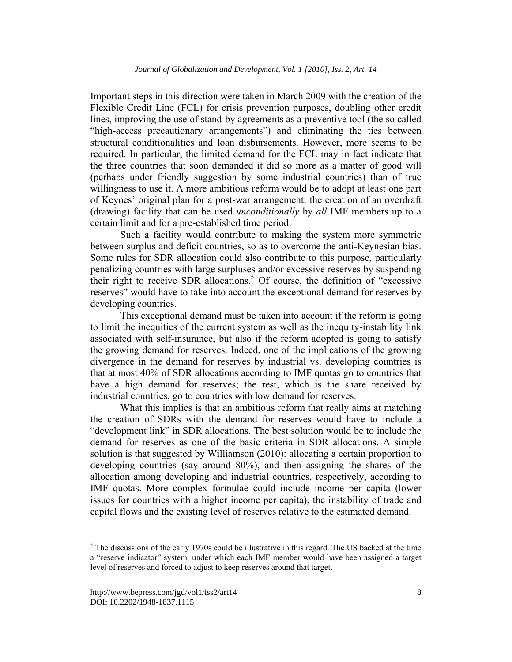Important steps in this direction were taken in March 2009 with the creation of the Flexible Credit Line (FCL) for crisis prevention purposes, doubling other credit lines, improving the use of stand-by agreements as a preventive tool (the so called "high-access precautionary arrangements") and eliminating the ties between structural conditionalities and loan disbursements. However, more seems to be required. In particular, the limited demand for the FCL may in fact indicate that the three countries that soon demanded it did so more as a matter of good will (perhaps under friendly suggestion by some industrial countries) than of true willingness to use it. A more ambitious reform would be to adopt at least one part of Keynes' original plan for a post-war arrangement: the creation of an overdraft (drawing) facility that can be used *unconditionally* by *all* IMF members up to a certain limit and for a pre-established time period.

Such a facility would contribute to making the system more symmetric between surplus and deficit countries, so as to overcome the anti-Keynesian bias. Some rules for SDR allocation could also contribute to this purpose, particularly penalizing countries with large surpluses and/or excessive reserves by suspending their right to receive SDR allocations.<sup>5</sup> Of course, the definition of "excessive reserves" would have to take into account the exceptional demand for reserves by developing countries.

This exceptional demand must be taken into account if the reform is going to limit the inequities of the current system as well as the inequity-instability link associated with self-insurance, but also if the reform adopted is going to satisfy the growing demand for reserves. Indeed, one of the implications of the growing divergence in the demand for reserves by industrial vs. developing countries is that at most 40% of SDR allocations according to IMF quotas go to countries that have a high demand for reserves; the rest, which is the share received by industrial countries, go to countries with low demand for reserves.

What this implies is that an ambitious reform that really aims at matching the creation of SDRs with the demand for reserves would have to include a "development link" in SDR allocations. The best solution would be to include the demand for reserves as one of the basic criteria in SDR allocations. A simple solution is that suggested by Williamson (2010): allocating a certain proportion to developing countries (say around 80%), and then assigning the shares of the allocation among developing and industrial countries, respectively, according to IMF quotas. More complex formulae could include income per capita (lower issues for countries with a higher income per capita), the instability of trade and capital flows and the existing level of reserves relative to the estimated demand.

 $\overline{a}$ 

 $<sup>5</sup>$  The discussions of the early 1970s could be illustrative in this regard. The US backed at the time</sup> a "reserve indicator" system, under which each IMF member would have been assigned a target level of reserves and forced to adjust to keep reserves around that target.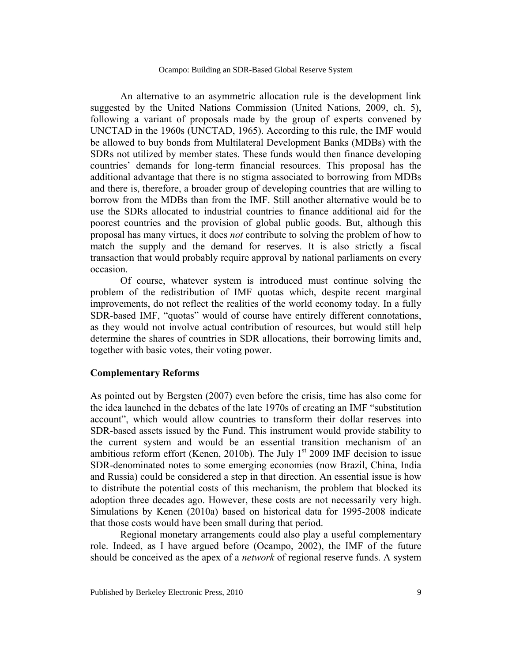Ocampo: Building an SDR-Based Global Reserve System

An alternative to an asymmetric allocation rule is the development link suggested by the United Nations Commission (United Nations, 2009, ch. 5), following a variant of proposals made by the group of experts convened by UNCTAD in the 1960s (UNCTAD, 1965). According to this rule, the IMF would be allowed to buy bonds from Multilateral Development Banks (MDBs) with the SDRs not utilized by member states. These funds would then finance developing countries' demands for long-term financial resources. This proposal has the additional advantage that there is no stigma associated to borrowing from MDBs and there is, therefore, a broader group of developing countries that are willing to borrow from the MDBs than from the IMF. Still another alternative would be to use the SDRs allocated to industrial countries to finance additional aid for the poorest countries and the provision of global public goods. But, although this proposal has many virtues, it does *not* contribute to solving the problem of how to match the supply and the demand for reserves. It is also strictly a fiscal transaction that would probably require approval by national parliaments on every occasion.

Of course, whatever system is introduced must continue solving the problem of the redistribution of IMF quotas which, despite recent marginal improvements, do not reflect the realities of the world economy today. In a fully SDR-based IMF, "quotas" would of course have entirely different connotations, as they would not involve actual contribution of resources, but would still help determine the shares of countries in SDR allocations, their borrowing limits and, together with basic votes, their voting power.

# **Complementary Reforms**

As pointed out by Bergsten (2007) even before the crisis, time has also come for the idea launched in the debates of the late 1970s of creating an IMF "substitution account", which would allow countries to transform their dollar reserves into SDR-based assets issued by the Fund. This instrument would provide stability to the current system and would be an essential transition mechanism of an ambitious reform effort (Kenen, 2010b). The July  $1<sup>st</sup>$  2009 IMF decision to issue SDR-denominated notes to some emerging economies (now Brazil, China, India and Russia) could be considered a step in that direction. An essential issue is how to distribute the potential costs of this mechanism, the problem that blocked its adoption three decades ago. However, these costs are not necessarily very high. Simulations by Kenen (2010a) based on historical data for 1995-2008 indicate that those costs would have been small during that period.

Regional monetary arrangements could also play a useful complementary role. Indeed, as I have argued before (Ocampo, 2002), the IMF of the future should be conceived as the apex of a *network* of regional reserve funds. A system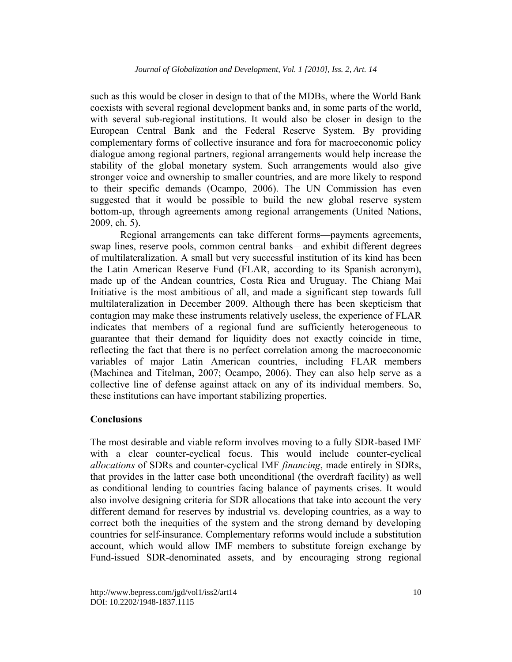such as this would be closer in design to that of the MDBs, where the World Bank coexists with several regional development banks and, in some parts of the world, with several sub-regional institutions. It would also be closer in design to the European Central Bank and the Federal Reserve System. By providing complementary forms of collective insurance and fora for macroeconomic policy dialogue among regional partners, regional arrangements would help increase the stability of the global monetary system. Such arrangements would also give stronger voice and ownership to smaller countries, and are more likely to respond to their specific demands (Ocampo, 2006). The UN Commission has even suggested that it would be possible to build the new global reserve system bottom-up, through agreements among regional arrangements (United Nations, 2009, ch. 5).

Regional arrangements can take different forms—payments agreements, swap lines, reserve pools, common central banks—and exhibit different degrees of multilateralization. A small but very successful institution of its kind has been the Latin American Reserve Fund (FLAR, according to its Spanish acronym), made up of the Andean countries, Costa Rica and Uruguay. The Chiang Mai Initiative is the most ambitious of all, and made a significant step towards full multilateralization in December 2009. Although there has been skepticism that contagion may make these instruments relatively useless, the experience of FLAR indicates that members of a regional fund are sufficiently heterogeneous to guarantee that their demand for liquidity does not exactly coincide in time, reflecting the fact that there is no perfect correlation among the macroeconomic variables of major Latin American countries, including FLAR members (Machinea and Titelman, 2007; Ocampo, 2006). They can also help serve as a collective line of defense against attack on any of its individual members. So, these institutions can have important stabilizing properties.

# **Conclusions**

The most desirable and viable reform involves moving to a fully SDR-based IMF with a clear counter-cyclical focus. This would include counter-cyclical *allocations* of SDRs and counter-cyclical IMF *financing*, made entirely in SDRs, that provides in the latter case both unconditional (the overdraft facility) as well as conditional lending to countries facing balance of payments crises. It would also involve designing criteria for SDR allocations that take into account the very different demand for reserves by industrial vs. developing countries, as a way to correct both the inequities of the system and the strong demand by developing countries for self-insurance. Complementary reforms would include a substitution account, which would allow IMF members to substitute foreign exchange by Fund-issued SDR-denominated assets, and by encouraging strong regional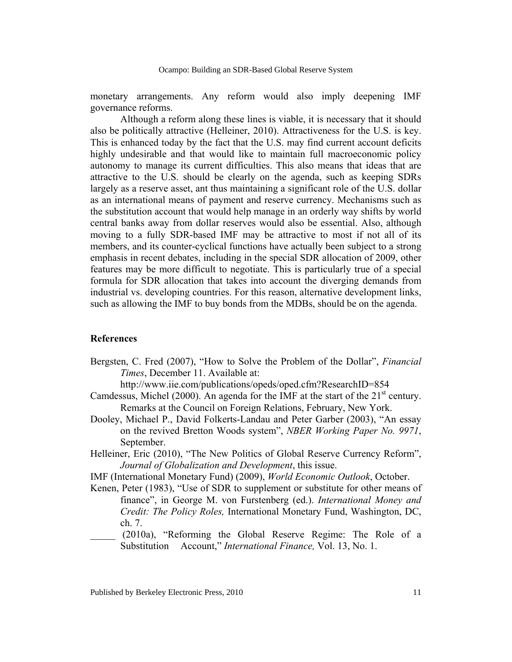monetary arrangements. Any reform would also imply deepening IMF governance reforms.

 Although a reform along these lines is viable, it is necessary that it should also be politically attractive (Helleiner, 2010). Attractiveness for the U.S. is key. This is enhanced today by the fact that the U.S. may find current account deficits highly undesirable and that would like to maintain full macroeconomic policy autonomy to manage its current difficulties. This also means that ideas that are attractive to the U.S. should be clearly on the agenda, such as keeping SDRs largely as a reserve asset, ant thus maintaining a significant role of the U.S. dollar as an international means of payment and reserve currency. Mechanisms such as the substitution account that would help manage in an orderly way shifts by world central banks away from dollar reserves would also be essential. Also, although moving to a fully SDR-based IMF may be attractive to most if not all of its members, and its counter-cyclical functions have actually been subject to a strong emphasis in recent debates, including in the special SDR allocation of 2009, other features may be more difficult to negotiate. This is particularly true of a special formula for SDR allocation that takes into account the diverging demands from industrial vs. developing countries. For this reason, alternative development links, such as allowing the IMF to buy bonds from the MDBs, should be on the agenda.

# **References**

Bergsten, C. Fred (2007), "How to Solve the Problem of the Dollar", *Financial Times*, December 11. Available at:

http://www.iie.com/publications/opeds/oped.cfm?ResearchID=854

- Camdessus, Michel (2000). An agenda for the IMF at the start of the  $21<sup>st</sup>$  century. Remarks at the Council on Foreign Relations, February, New York.
- Dooley, Michael P., David Folkerts-Landau and Peter Garber (2003), "An essay on the revived Bretton Woods system", *NBER Working Paper No. 9971*, September.
- Helleiner, Eric (2010), "The New Politics of Global Reserve Currency Reform", *Journal of Globalization and Development*, this issue.
- IMF (International Monetary Fund) (2009), *World Economic Outlook*, October.
- Kenen, Peter (1983), "Use of SDR to supplement or substitute for other means of finance", in George M. von Furstenberg (ed.). *International Money and Credit: The Policy Roles,* International Monetary Fund, Washington, DC, ch. 7.
- \_\_\_\_\_ (2010a), "Reforming the Global Reserve Regime: The Role of a Substitution Account," *International Finance,* Vol. 13, No. 1.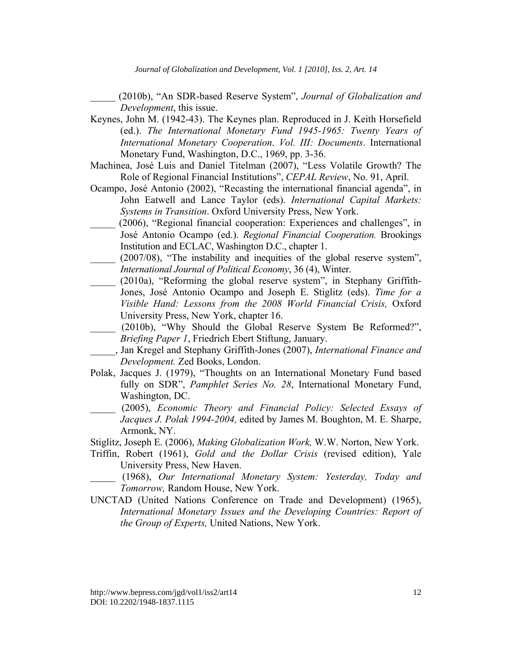*Journal of Globalization and Development, Vol. 1 [2010], Iss. 2, Art. 14*

*\_\_\_\_\_* (2010b), "An SDR-based Reserve System", *Journal of Globalization and Development*, this issue.

- Keynes, John M. (1942-43). The Keynes plan. Reproduced in J. Keith Horsefield (ed.). *The International Monetary Fund 1945-1965: Twenty Years of International Monetary Cooperation*. *Vol. III: Documents*. International Monetary Fund, Washington, D.C., 1969, pp. 3-36.
- Machinea, José Luis and Daniel Titelman (2007), "Less Volatile Growth? The Role of Regional Financial Institutions", *CEPAL Review*, No. 91, April.
- Ocampo, José Antonio (2002), "Recasting the international financial agenda", in John Eatwell and Lance Taylor (eds). *International Capital Markets: Systems in Transition*. Oxford University Press, New York.
- (2006), "Regional financial cooperation: Experiences and challenges", in José Antonio Ocampo (ed.). *Regional Financial Cooperation.* Brookings Institution and ECLAC, Washington D.C., chapter 1.
- $(2007/08)$ , "The instability and inequities of the global reserve system", *International Journal of Political Economy*, 36 (4), Winter.
- \_\_\_\_\_ (2010a), "Reforming the global reserve system", in Stephany Griffith-Jones, José Antonio Ocampo and Joseph E. Stiglitz (eds). *Time for a Visible Hand: Lessons from the 2008 World Financial Crisis,* Oxford University Press, New York, chapter 16.
- \_\_\_\_\_ (2010b), "Why Should the Global Reserve System Be Reformed?", *Briefing Paper 1*, Friedrich Ebert Stiftung, January.
- \_\_\_\_\_, Jan Kregel and Stephany Griffith-Jones (2007), *International Finance and Development.* Zed Books, London.
- Polak, Jacques J. (1979), "Thoughts on an International Monetary Fund based fully on SDR", *Pamphlet Series No. 28*, International Monetary Fund, Washington, DC.
- \_\_\_\_\_ (2005), *Economic Theory and Financial Policy: Selected Essays of Jacques J. Polak 1994-2004,* edited by James M. Boughton, M. E. Sharpe, Armonk, NY.
- Stiglitz, Joseph E. (2006), *Making Globalization Work,* W.W. Norton, New York.
- Triffin, Robert (1961), *Gold and the Dollar Crisis* (revised edition), Yale University Press, New Haven.
- \_\_\_\_\_ (1968), *Our International Monetary System: Yesterday, Today and Tomorrow,* Random House, New York.
- UNCTAD (United Nations Conference on Trade and Development) (1965), *International Monetary Issues and the Developing Countries: Report of the Group of Experts,* United Nations, New York.